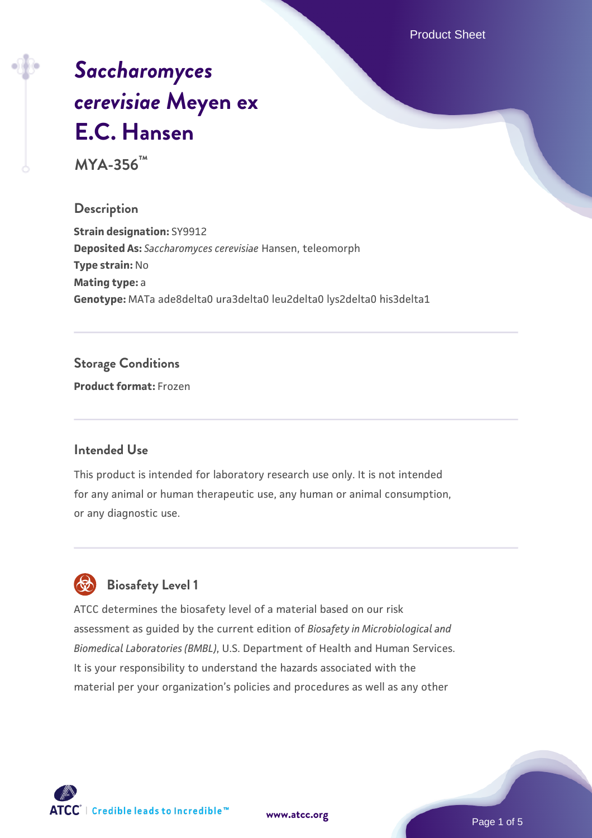Product Sheet

# *[Saccharomyces](https://www.atcc.org/products/mya-356) [cerevisiae](https://www.atcc.org/products/mya-356)* **[Meyen ex](https://www.atcc.org/products/mya-356) [E.C. Hansen](https://www.atcc.org/products/mya-356)**

**MYA-356™**

### **Description**

**Strain designation:** SY9912 **Deposited As:** *Saccharomyces cerevisiae* Hansen, teleomorph **Type strain:** No **Mating type:** a **Genotype:** MATa ade8delta0 ura3delta0 leu2delta0 lys2delta0 his3delta1

### **Storage Conditions**

**Product format:** Frozen

### **Intended Use**

This product is intended for laboratory research use only. It is not intended for any animal or human therapeutic use, any human or animal consumption, or any diagnostic use.



### **Biosafety Level 1**

ATCC determines the biosafety level of a material based on our risk assessment as guided by the current edition of *Biosafety in Microbiological and Biomedical Laboratories (BMBL)*, U.S. Department of Health and Human Services. It is your responsibility to understand the hazards associated with the material per your organization's policies and procedures as well as any other

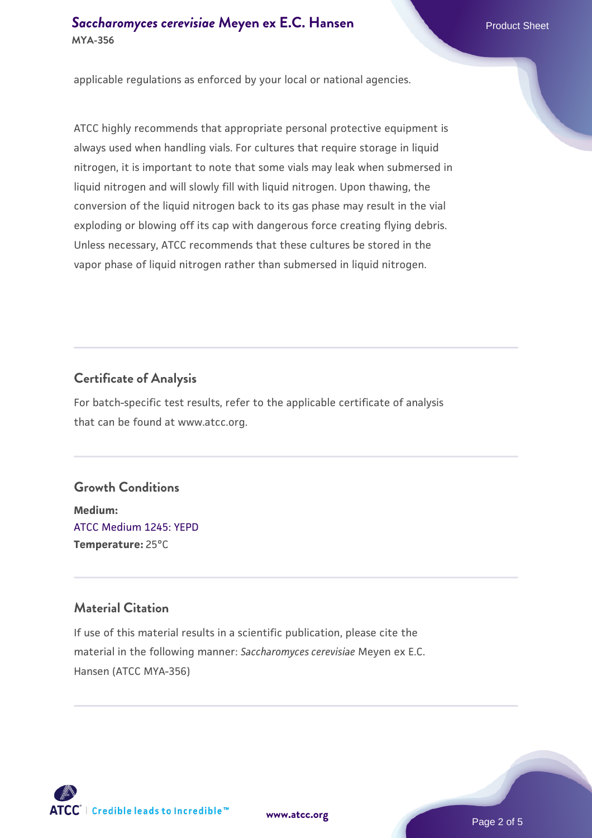### **[Saccharomyces cerevisiae](https://www.atcc.org/products/mya-356)** [Meyen ex E.C. Hansen](https://www.atcc.org/products/mya-356) **MYA-356**

applicable regulations as enforced by your local or national agencies.

ATCC highly recommends that appropriate personal protective equipment is always used when handling vials. For cultures that require storage in liquid nitrogen, it is important to note that some vials may leak when submersed in liquid nitrogen and will slowly fill with liquid nitrogen. Upon thawing, the conversion of the liquid nitrogen back to its gas phase may result in the vial exploding or blowing off its cap with dangerous force creating flying debris. Unless necessary, ATCC recommends that these cultures be stored in the vapor phase of liquid nitrogen rather than submersed in liquid nitrogen.

### **Certificate of Analysis**

For batch-specific test results, refer to the applicable certificate of analysis that can be found at www.atcc.org.

### **Growth Conditions**

**Medium:**  [ATCC Medium 1245: YEPD](https://www.atcc.org/-/media/product-assets/documents/microbial-media-formulations/1/2/4/5/atcc-medium-1245.pdf?rev=705ca55d1b6f490a808a965d5c072196) **Temperature:** 25°C

### **Material Citation**

If use of this material results in a scientific publication, please cite the material in the following manner: *Saccharomyces cerevisiae* Meyen ex E.C. Hansen (ATCC MYA-356)



**[www.atcc.org](http://www.atcc.org)**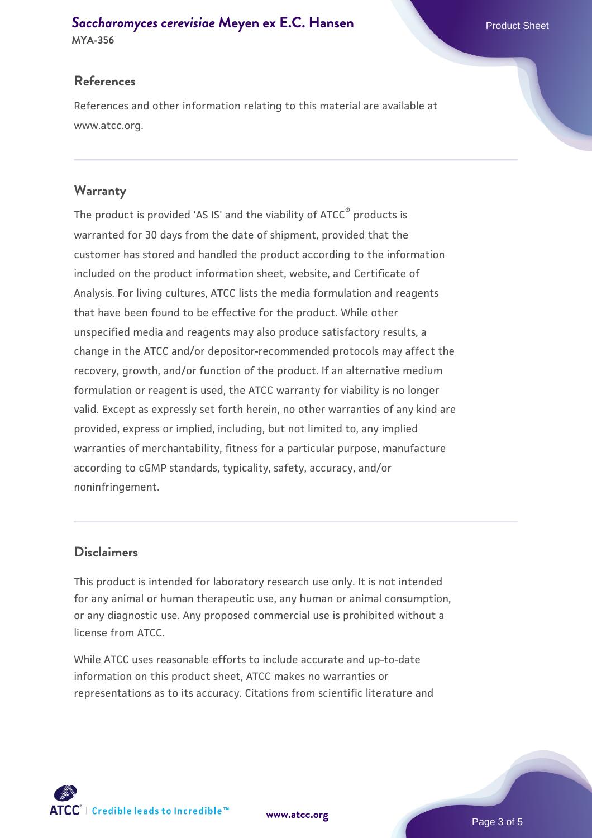## **[Saccharomyces cerevisiae](https://www.atcc.org/products/mya-356)** [Meyen ex E.C. Hansen](https://www.atcc.org/products/mya-356)

**MYA-356**

### **References**

References and other information relating to this material are available at www.atcc.org.

### **Warranty**

The product is provided 'AS IS' and the viability of ATCC® products is warranted for 30 days from the date of shipment, provided that the customer has stored and handled the product according to the information included on the product information sheet, website, and Certificate of Analysis. For living cultures, ATCC lists the media formulation and reagents that have been found to be effective for the product. While other unspecified media and reagents may also produce satisfactory results, a change in the ATCC and/or depositor-recommended protocols may affect the recovery, growth, and/or function of the product. If an alternative medium formulation or reagent is used, the ATCC warranty for viability is no longer valid. Except as expressly set forth herein, no other warranties of any kind are provided, express or implied, including, but not limited to, any implied warranties of merchantability, fitness for a particular purpose, manufacture according to cGMP standards, typicality, safety, accuracy, and/or noninfringement.

### **Disclaimers**

This product is intended for laboratory research use only. It is not intended for any animal or human therapeutic use, any human or animal consumption, or any diagnostic use. Any proposed commercial use is prohibited without a license from ATCC.

While ATCC uses reasonable efforts to include accurate and up-to-date information on this product sheet, ATCC makes no warranties or representations as to its accuracy. Citations from scientific literature and



**[www.atcc.org](http://www.atcc.org)**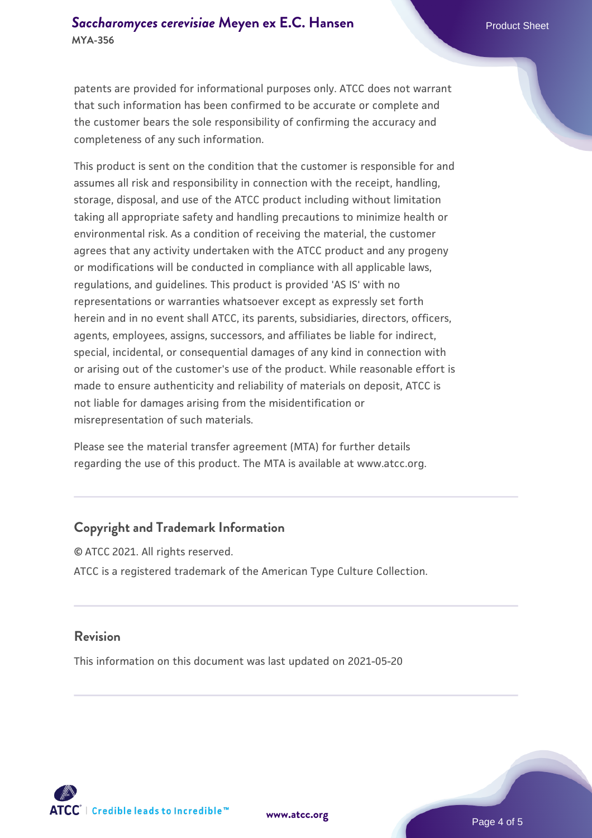patents are provided for informational purposes only. ATCC does not warrant that such information has been confirmed to be accurate or complete and the customer bears the sole responsibility of confirming the accuracy and completeness of any such information.

This product is sent on the condition that the customer is responsible for and assumes all risk and responsibility in connection with the receipt, handling, storage, disposal, and use of the ATCC product including without limitation taking all appropriate safety and handling precautions to minimize health or environmental risk. As a condition of receiving the material, the customer agrees that any activity undertaken with the ATCC product and any progeny or modifications will be conducted in compliance with all applicable laws, regulations, and guidelines. This product is provided 'AS IS' with no representations or warranties whatsoever except as expressly set forth herein and in no event shall ATCC, its parents, subsidiaries, directors, officers, agents, employees, assigns, successors, and affiliates be liable for indirect, special, incidental, or consequential damages of any kind in connection with or arising out of the customer's use of the product. While reasonable effort is made to ensure authenticity and reliability of materials on deposit, ATCC is not liable for damages arising from the misidentification or misrepresentation of such materials.

Please see the material transfer agreement (MTA) for further details regarding the use of this product. The MTA is available at www.atcc.org.

### **Copyright and Trademark Information**

© ATCC 2021. All rights reserved. ATCC is a registered trademark of the American Type Culture Collection.

#### **Revision**

This information on this document was last updated on 2021-05-20



**[www.atcc.org](http://www.atcc.org)**